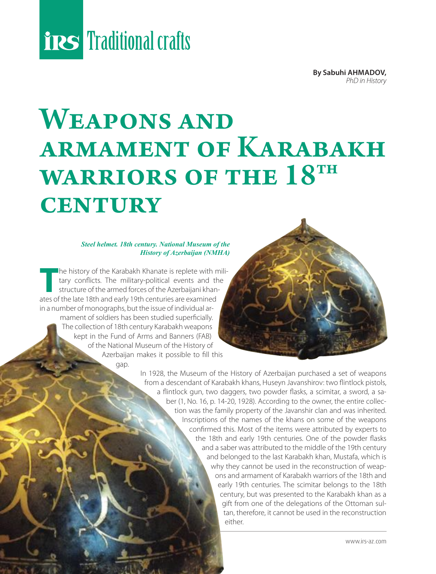# **Traditional crafts**

**By Sabuhi AHMADOV,** *PhD in History*

### WEAPONS AND armament of Karabakh WARRIORS OF THE  $18^{TH}$ **CENTURY**

### *Steel helmet. 18th century. National Museum of the History of Azerbaijan (NMHA)*

The history of the Karabakh Khanate is replete with military conflicts. The military-political events and the structure of the armed forces of the Azerbaijani khantary conflicts. The military-political events and the structure of the armed forces of the Azerbaijani khanates of the late 18th and early 19th centuries are examined in a number of monographs, but the issue of individual armament of soldiers has been studied superficially. The collection of 18th century Karabakh weapons kept in the Fund of Arms and Banners (FAB) of the National Museum of the History of Azerbaijan makes it possible to fill this gap.

> In 1928, the Museum of the History of Azerbaijan purchased a set of weapons from a descendant of Karabakh khans, Huseyn Javanshirov: two flintlock pistols, a flintlock gun, two daggers, two powder flasks, a scimitar, a sword, a saber (1, No. 16, p. 14-20, 1928). According to the owner, the entire collection was the family property of the Javanshir clan and was inherited. Inscriptions of the names of the khans on some of the weapons confirmed this. Most of the items were attributed by experts to the 18th and early 19th centuries. One of the powder flasks and a saber was attributed to the middle of the 19th century and belonged to the last Karabakh khan, Mustafa, which is why they cannot be used in the reconstruction of weapons and armament of Karabakh warriors of the 18th and early 19th centuries. The scimitar belongs to the 18th century, but was presented to the Karabakh khan as a gift from one of the delegations of the Ottoman sultan, therefore, it cannot be used in the reconstruction either.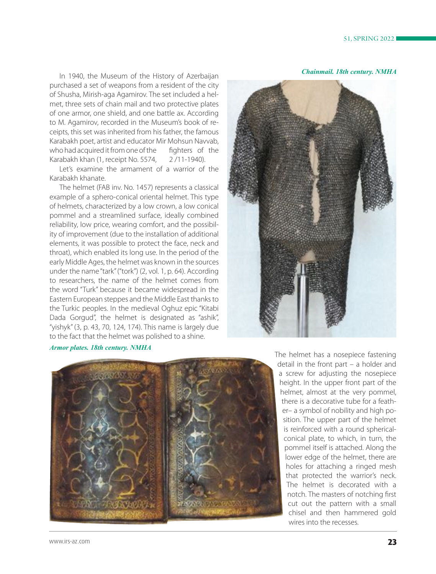*Chainmail. 18th century. NMHA*

In 1940, the Museum of the History of Azerbaijan purchased a set of weapons from a resident of the city of Shusha, Mirish-aga Agamirov. The set included a helmet, three sets of chain mail and two protective plates of one armor, one shield, and one battle ax. According to M. Agamirov, recorded in the Museum's book of receipts, this set was inherited from his father, the famous Karabakh poet, artist and educator Mir Mohsun Navvab, who had acquired it from one of the fighters of the Karabakh khan (1, receipt No. 5574, 2 /11-1940).

Let's examine the armament of a warrior of the Karabakh khanate.

The helmet (FAB inv. No. 1457) represents a classical example of a sphero-conical oriental helmet. This type of helmets, characterized by a low crown, a low conical pommel and a streamlined surface, ideally combined reliability, low price, wearing comfort, and the possibility of improvement (due to the installation of additional elements, it was possible to protect the face, neck and throat), which enabled its long use. In the period of the early Middle Ages, the helmet was known in the sources under the name "tark" ("tork") (2, vol. 1, p. 64). According to researchers, the name of the helmet comes from the word "Turk" because it became widespread in the Eastern European steppes and the Middle East thanks to the Turkic peoples. In the medieval Oghuz epic "Kitabi Dada Gorgud", the helmet is designated as "ashik", "yishyk" (3, p. 43, 70, 124, 174). This name is largely due to the fact that the helmet was polished to a shine.



#### *Armor plates. 18th century. NMHA*



The helmet has a nosepiece fastening detail in the front part – a holder and a screw for adjusting the nosepiece height. In the upper front part of the helmet, almost at the very pommel, there is a decorative tube for a feather– a symbol of nobility and high position. The upper part of the helmet is reinforced with a round sphericalconical plate, to which, in turn, the pommel itself is attached. Along the lower edge of the helmet, there are holes for attaching a ringed mesh that protected the warrior's neck. The helmet is decorated with a notch. The masters of notching first cut out the pattern with a small chisel and then hammered gold wires into the recesses.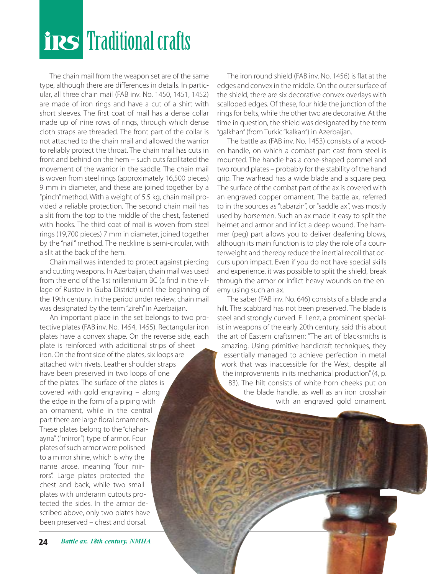# **Traditional crafts**

The chain mail from the weapon set are of the same type, although there are differences in details. In particular, all three chain mail (FAB inv. No. 1450, 1451, 1452) are made of iron rings and have a cut of a shirt with short sleeves. The first coat of mail has a dense collar made up of nine rows of rings, through which dense cloth straps are threaded. The front part of the collar is not attached to the chain mail and allowed the warrior to reliably protect the throat. The chain mail has cuts in front and behind on the hem – such cuts facilitated the movement of the warrior in the saddle. The chain mail is woven from steel rings (approximately 16,500 pieces) 9 mm in diameter, and these are joined together by a "pinch" method. With a weight of 5.5 kg, chain mail provided a reliable protection. The second chain mail has a slit from the top to the middle of the chest, fastened with hooks. The third coat of mail is woven from steel rings (19,700 pieces) 7 mm in diameter, joined together by the "nail" method. The neckline is semi-circular, with a slit at the back of the hem.

Chain mail was intended to protect against piercing and cutting weapons. In Azerbaijan, chain mail was used from the end of the 1st millennium BC (a find in the village of Rustov in Guba District) until the beginning of the 19th century. In the period under review, chain mail was designated by the term "zireh" in Azerbaijan.

An important place in the set belongs to two protective plates (FAB inv. No. 1454, 1455). Rectangular iron plates have a convex shape. On the reverse side, each plate is reinforced with additional strips of sheet iron. On the front side of the plates, six loops are attached with rivets. Leather shoulder straps have been preserved in two loops of one of the plates. The surface of the plates is covered with gold engraving – along the edge in the form of a piping with an ornament, while in the central part there are large floral ornaments. These plates belong to the "chaharayna" ("mirror") type of armor. Four plates of such armor were polished to a mirror shine, which is why the name arose, meaning "four mirrors". Large plates protected the chest and back, while two small plates with underarm cutouts protected the sides. In the armor described above, only two plates have been preserved – chest and dorsal.

The iron round shield (FAB inv. No. 1456) is flat at the edges and convex in the middle. On the outer surface of the shield, there are six decorative convex overlays with scalloped edges. Of these, four hide the junction of the rings for belts, while the other two are decorative. At the time in question, the shield was designated by the term "galkhan" (from Turkic "kalkan") in Azerbaijan.

The battle ax (FAB inv. No. 1453) consists of a wooden handle, on which a combat part cast from steel is mounted. The handle has a cone-shaped pommel and two round plates – probably for the stability of the hand grip. The warhead has a wide blade and a square peg. The surface of the combat part of the ax is covered with an engraved copper ornament. The battle ax, referred to in the sources as "tabarzin", or "saddle ax", was mostly used by horsemen. Such an ax made it easy to split the helmet and armor and inflict a deep wound. The hammer (peg) part allows you to deliver deafening blows, although its main function is to play the role of a counterweight and thereby reduce the inertial recoil that occurs upon impact. Even if you do not have special skills and experience, it was possible to split the shield, break through the armor or inflict heavy wounds on the enemy using such an ax.

The saber (FAB inv. No. 646) consists of a blade and a hilt. The scabbard has not been preserved. The blade is steel and strongly curved. E. Lenz, a prominent specialist in weapons of the early 20th century, said this about the art of Eastern craftsmen: "The art of blacksmiths is amazing. Using primitive handicraft techniques, they essentially managed to achieve perfection in metal work that was inaccessible for the West, despite all the improvements in its mechanical production" (4, p. 83). The hilt consists of white horn cheeks put on the blade handle, as well as an iron crosshair with an engraved gold ornament.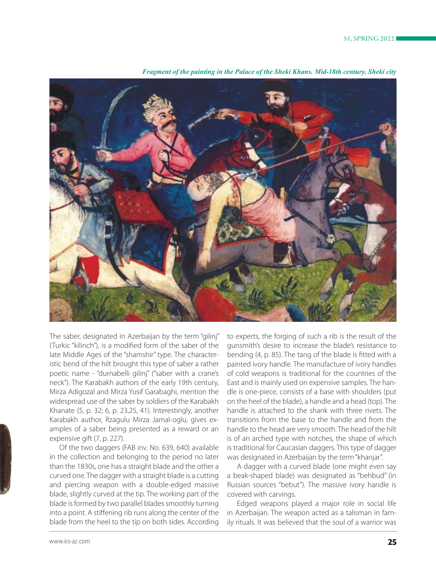

*Fragment of the painting in the Palace of the Sheki Khans. Mid-18th century. Sheki city*

The saber, designated in Azerbaijan by the term "gilinj" (Turkic "kilinch"), is a modified form of the saber of the late Middle Ages of the "shamshir" type. The characteristic bend of the hilt brought this type of saber a rather poetic name - "durnabelli gilinj" ("saber with a crane's neck"). The Karabakh authors of the early 19th century, Mirza Adigozal and Mirza Yusif Garabaghi, mention the widespread use of the saber by soldiers of the Karabakh Khanate (5, p. 32; 6, p. 23,25, 41). Interestingly, another Karabakh author, Rzagulu Mirza Jamal-oglu, gives examples of a saber being presented as a reward or an expensive gift (7, p. 227).

Of the two daggers (FAB inv. No. 639, 640) available in the collection and belonging to the period no later than the 1830s, one has a straight blade and the other a curved one. The dagger with a straight blade is a cutting and piercing weapon with a double-edged massive blade, slightly curved at the tip. The working part of the blade is formed by two parallel blades smoothly turning into a point. A stiffening rib runs along the center of the blade from the heel to the tip on both sides. According

to experts, the forging of such a rib is the result of the gunsmith's desire to increase the blade's resistance to bending (4, p. 85). The tang of the blade is fitted with a painted ivory handle. The manufacture of ivory handles of cold weapons is traditional for the countries of the East and is mainly used on expensive samples. The handle is one-piece, consists of a base with shoulders (put on the heel of the blade), a handle and a head (top). The handle is attached to the shank with three rivets. The transitions from the base to the handle and from the handle to the head are very smooth. The head of the hilt is of an arched type with notches, the shape of which is traditional for Caucasian daggers. This type of dagger was designated in Azerbaijan by the term "khanjar".

A dagger with a curved blade (one might even say a beak-shaped blade) was designated as "behbud" (in Russian sources "bebut"). The massive ivory handle is covered with carvings.

Edged weapons played a major role in social life in Azerbaijan. The weapon acted as a talisman in family rituals. It was believed that the soul of a warrior was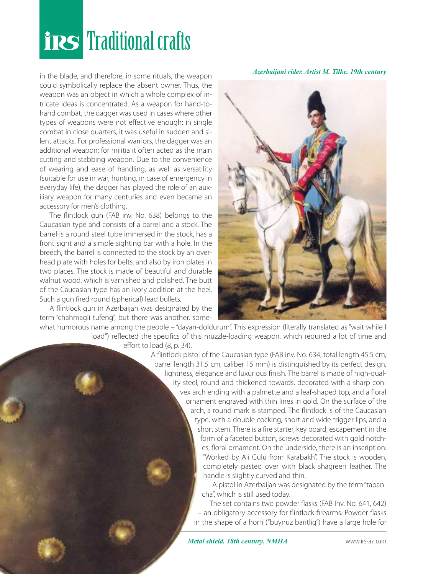# **Traditional crafts**

in the blade, and therefore, in some rituals, the weapon could symbolically replace the absent owner. Thus, the weapon was an object in which a whole complex of intricate ideas is concentrated. As a weapon for hand-tohand combat, the dagger was used in cases where other types of weapons were not effective enough: in single combat in close quarters, it was useful in sudden and silent attacks. For professional warriors, the dagger was an additional weapon; for militia it often acted as the main cutting and stabbing weapon. Due to the convenience of wearing and ease of handling, as well as versatility (suitable for use in war, hunting, in case of emergency in everyday life), the dagger has played the role of an auxiliary weapon for many centuries and even became an accessory for men's clothing.

The flintlock gun (FAB inv. No. 638) belongs to the Caucasian type and consists of a barrel and a stock. The barrel is a round steel tube immersed in the stock, has a front sight and a simple sighting bar with a hole. In the breech, the barrel is connected to the stock by an overhead plate with holes for belts, and also by iron plates in two places. The stock is made of beautiful and durable walnut wood, which is varnished and polished. The butt of the Caucasian type has an ivory addition at the heel. Such a gun fired round (spherical) lead bullets.

A flintlock gun in Azerbaijan was designated by the term "chahmagli tufeng", but there was another, some-



*Azerbaijani rider. Artist M. Tilke. 19th century*

what humorous name among the people – "dayan-doldurum". This expression (literally translated as "wait while I load") reflected the specifics of this muzzle-loading weapon, which required a lot of time and

effort to load (8, p. 34).

A flintlock pistol of the Caucasian type (FAB inv. No. 634; total length 45.5 cm, barrel length 31.5 cm, caliber 15 mm) is distinguished by its perfect design, lightness, elegance and luxurious finish. The barrel is made of high-quality steel, round and thickened towards, decorated with a sharp convex arch ending with a palmette and a leaf-shaped top, and a floral ornament engraved with thin lines in gold. On the surface of the arch, a round mark is stamped. The flintlock is of the Caucasian type, with a double cocking, short and wide trigger lips, and a short stem. There is a fire starter, key board, escapement in the form of a faceted button, screws decorated with gold notches, floral ornament. On the underside, there is an inscription: "Worked by Ali Gulu from Karabakh". The stock is wooden, completely pasted over with black shagreen leather. The handle is slightly curved and thin.

A pistol in Azerbaijan was designated by the term "tapancha", which is still used today.

The set contains two powder flasks (FAB Inv. No. 641, 642) – an obligatory accessory for flintlock firearms. Powder flasks in the shape of a horn ("buynuz baritlig") have a large hole for

**26 www.irs-az.com 26 website the Metal shield. 18th century. NMHA** www.irs-az.com